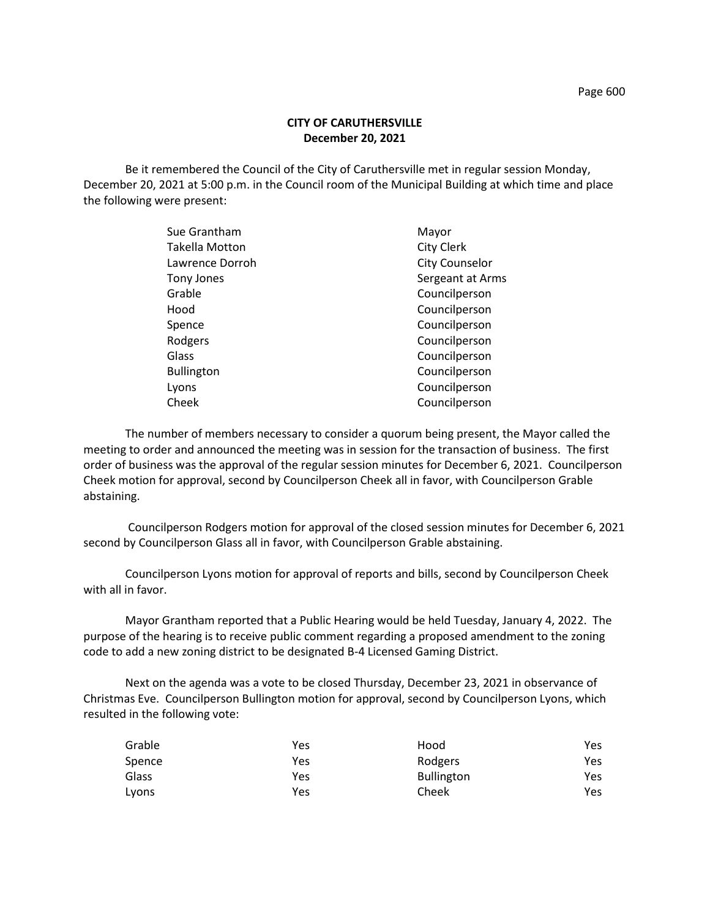Be it remembered the Council of the City of Caruthersville met in regular session Monday, December 20, 2021 at 5:00 p.m. in the Council room of the Municipal Building at which time and place the following were present:

| Sue Grantham      | Mayor                 |
|-------------------|-----------------------|
| Takella Motton    | City Clerk            |
| Lawrence Dorroh   | <b>City Counselor</b> |
| Tony Jones        | Sergeant at Arms      |
| Grable            | Councilperson         |
| Hood              | Councilperson         |
| Spence            | Councilperson         |
| Rodgers           | Councilperson         |
| Glass             | Councilperson         |
| <b>Bullington</b> | Councilperson         |
| Lyons             | Councilperson         |
| Cheek             | Councilperson         |

The number of members necessary to consider a quorum being present, the Mayor called the meeting to order and announced the meeting was in session for the transaction of business. The first order of business was the approval of the regular session minutes for December 6, 2021. Councilperson Cheek motion for approval, second by Councilperson Cheek all in favor, with Councilperson Grable abstaining.

Councilperson Rodgers motion for approval of the closed session minutes for December 6, 2021 second by Councilperson Glass all in favor, with Councilperson Grable abstaining.

Councilperson Lyons motion for approval of reports and bills, second by Councilperson Cheek with all in favor.

Mayor Grantham reported that a Public Hearing would be held Tuesday, January 4, 2022. The purpose of the hearing is to receive public comment regarding a proposed amendment to the zoning code to add a new zoning district to be designated B-4 Licensed Gaming District.

Next on the agenda was a vote to be closed Thursday, December 23, 2021 in observance of Christmas Eve. Councilperson Bullington motion for approval, second by Councilperson Lyons, which resulted in the following vote:

| Grable | Yes | Hood              | Yes. |
|--------|-----|-------------------|------|
| Spence | Yes | Rodgers           | Yes  |
| Glass  | Yes | <b>Bullington</b> | Yes  |
| Lyons  | Yes | Cheek             | Yes  |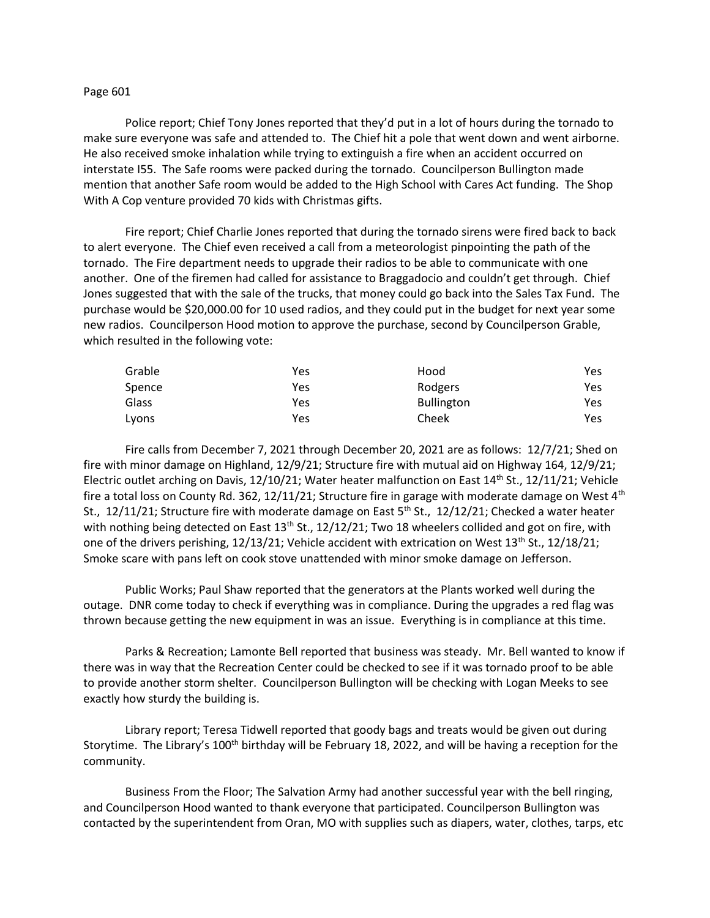## Page 601

Police report; Chief Tony Jones reported that they'd put in a lot of hours during the tornado to make sure everyone was safe and attended to. The Chief hit a pole that went down and went airborne. He also received smoke inhalation while trying to extinguish a fire when an accident occurred on interstate I55. The Safe rooms were packed during the tornado. Councilperson Bullington made mention that another Safe room would be added to the High School with Cares Act funding. The Shop With A Cop venture provided 70 kids with Christmas gifts.

Fire report; Chief Charlie Jones reported that during the tornado sirens were fired back to back to alert everyone. The Chief even received a call from a meteorologist pinpointing the path of the tornado. The Fire department needs to upgrade their radios to be able to communicate with one another. One of the firemen had called for assistance to Braggadocio and couldn't get through. Chief Jones suggested that with the sale of the trucks, that money could go back into the Sales Tax Fund. The purchase would be \$20,000.00 for 10 used radios, and they could put in the budget for next year some new radios. Councilperson Hood motion to approve the purchase, second by Councilperson Grable, which resulted in the following vote:

| Grable | Yes | Hood              | Yes |
|--------|-----|-------------------|-----|
| Spence | Yes | Rodgers           | Yes |
| Glass  | Yes | <b>Bullington</b> | Yes |
| Lyons  | Yes | Cheek             | Yes |

Fire calls from December 7, 2021 through December 20, 2021 are as follows: 12/7/21; Shed on fire with minor damage on Highland, 12/9/21; Structure fire with mutual aid on Highway 164, 12/9/21; Electric outlet arching on Davis, 12/10/21; Water heater malfunction on East 14th St., 12/11/21; Vehicle fire a total loss on County Rd. 362, 12/11/21; Structure fire in garage with moderate damage on West  $4<sup>th</sup>$ St., 12/11/21; Structure fire with moderate damage on East  $5<sup>th</sup>$  St., 12/12/21; Checked a water heater with nothing being detected on East  $13<sup>th</sup>$  St.,  $12/12/21$ ; Two 18 wheelers collided and got on fire, with one of the drivers perishing,  $12/13/21$ ; Vehicle accident with extrication on West  $13<sup>th</sup>$  St.,  $12/18/21$ ; Smoke scare with pans left on cook stove unattended with minor smoke damage on Jefferson.

Public Works; Paul Shaw reported that the generators at the Plants worked well during the outage. DNR come today to check if everything was in compliance. During the upgrades a red flag was thrown because getting the new equipment in was an issue. Everything is in compliance at this time.

Parks & Recreation; Lamonte Bell reported that business was steady. Mr. Bell wanted to know if there was in way that the Recreation Center could be checked to see if it was tornado proof to be able to provide another storm shelter. Councilperson Bullington will be checking with Logan Meeks to see exactly how sturdy the building is.

Library report; Teresa Tidwell reported that goody bags and treats would be given out during Storytime. The Library's 100<sup>th</sup> birthday will be February 18, 2022, and will be having a reception for the community.

Business From the Floor; The Salvation Army had another successful year with the bell ringing, and Councilperson Hood wanted to thank everyone that participated. Councilperson Bullington was contacted by the superintendent from Oran, MO with supplies such as diapers, water, clothes, tarps, etc